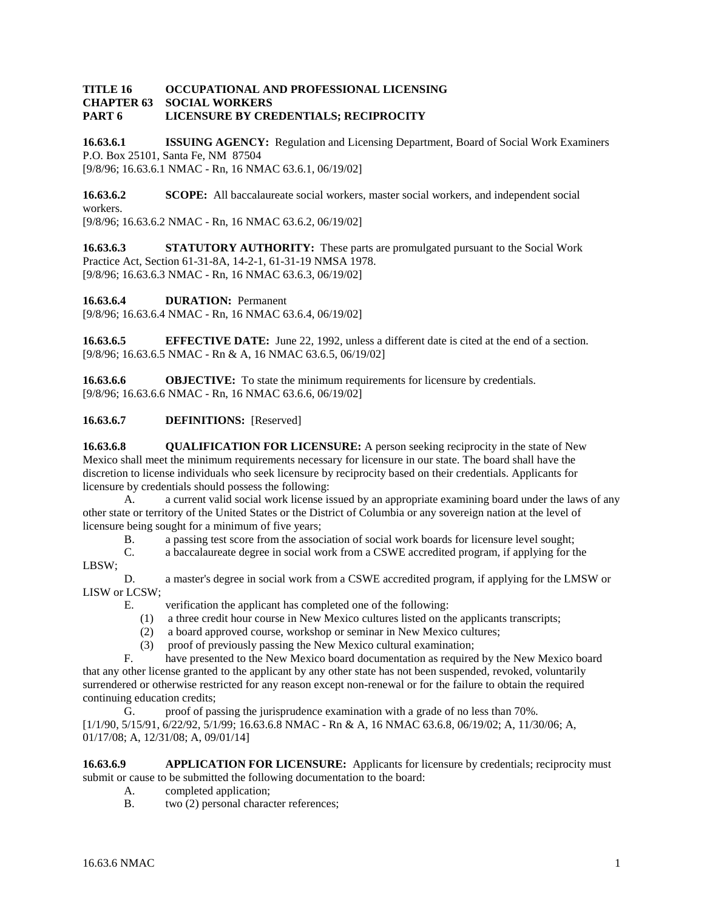## **TITLE 16 OCCUPATIONAL AND PROFESSIONAL LICENSING SOCIAL WORKERS PART 6 LICENSURE BY CREDENTIALS; RECIPROCITY**

**16.63.6.1 ISSUING AGENCY:** Regulation and Licensing Department, Board of Social Work Examiners P.O. Box 25101, Santa Fe, NM 87504 [9/8/96; 16.63.6.1 NMAC - Rn, 16 NMAC 63.6.1, 06/19/02]

**16.63.6.2 SCOPE:** All baccalaureate social workers, master social workers, and independent social workers. [9/8/96; 16.63.6.2 NMAC - Rn, 16 NMAC 63.6.2, 06/19/02]

**16.63.6.3 STATUTORY AUTHORITY:** These parts are promulgated pursuant to the Social Work Practice Act, Section 61-31-8A, 14-2-1, 61-31-19 NMSA 1978. [9/8/96; 16.63.6.3 NMAC - Rn, 16 NMAC 63.6.3, 06/19/02]

**16.63.6.4 DURATION:** Permanent

[9/8/96; 16.63.6.4 NMAC - Rn, 16 NMAC 63.6.4, 06/19/02]

**16.63.6.5 EFFECTIVE DATE:** June 22, 1992, unless a different date is cited at the end of a section. [9/8/96; 16.63.6.5 NMAC - Rn & A, 16 NMAC 63.6.5, 06/19/02]

**16.63.6.6 OBJECTIVE:** To state the minimum requirements for licensure by credentials. [9/8/96; 16.63.6.6 NMAC - Rn, 16 NMAC 63.6.6, 06/19/02]

**16.63.6.7 DEFINITIONS:** [Reserved]

**16.63.6.8 QUALIFICATION FOR LICENSURE:** A person seeking reciprocity in the state of New Mexico shall meet the minimum requirements necessary for licensure in our state. The board shall have the discretion to license individuals who seek licensure by reciprocity based on their credentials. Applicants for licensure by credentials should possess the following:

A. a current valid social work license issued by an appropriate examining board under the laws of any other state or territory of the United States or the District of Columbia or any sovereign nation at the level of licensure being sought for a minimum of five years;

B. a passing test score from the association of social work boards for licensure level sought;

C. a baccalaureate degree in social work from a CSWE accredited program, if applying for the LBSW;

D. a master's degree in social work from a CSWE accredited program, if applying for the LMSW or LISW or LCSW;

- E. verification the applicant has completed one of the following:
	- (1) a three credit hour course in New Mexico cultures listed on the applicants transcripts;
	- (2) a board approved course, workshop or seminar in New Mexico cultures;
- (3) proof of previously passing the New Mexico cultural examination;<br> $F_{\text{base}}$  have presented to the New Mexico board documentation as required

have presented to the New Mexico board documentation as required by the New Mexico board

that any other license granted to the applicant by any other state has not been suspended, revoked, voluntarily surrendered or otherwise restricted for any reason except non-renewal or for the failure to obtain the required continuing education credits;

G. proof of passing the jurisprudence examination with a grade of no less than 70%. [1/1/90, 5/15/91, 6/22/92, 5/1/99; 16.63.6.8 NMAC - Rn & A, 16 NMAC 63.6.8, 06/19/02; A, 11/30/06; A, 01/17/08; A, 12/31/08; A, 09/01/14]

**16.63.6.9 APPLICATION FOR LICENSURE:** Applicants for licensure by credentials; reciprocity must submit or cause to be submitted the following documentation to the board:

- A. completed application;
- B. two (2) personal character references;